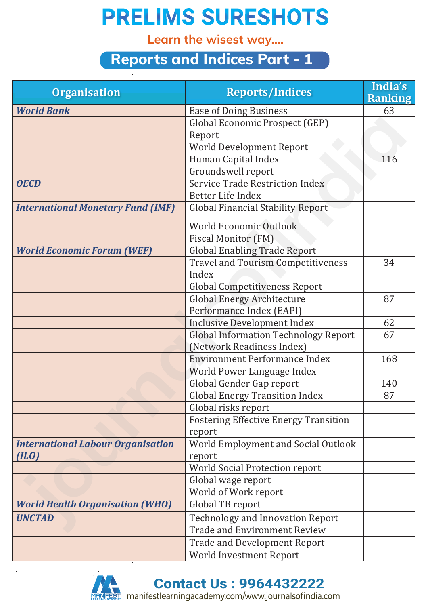## **PRELIMS SURESHOTS**

**Learn the wisest way....**

### **Reports and Indices Part - 1**

| <b>Organisation</b>                      | <b>Reports/Indices</b>                       | India's<br><b>Ranking</b> |
|------------------------------------------|----------------------------------------------|---------------------------|
| <b>World Bank</b>                        | <b>Ease of Doing Business</b>                | 63                        |
|                                          | Global Economic Prospect (GEP)               |                           |
|                                          | Report                                       |                           |
|                                          | World Development Report                     |                           |
|                                          | Human Capital Index                          | 116                       |
|                                          | Groundswell report                           |                           |
| <b>OECD</b>                              | <b>Service Trade Restriction Index</b>       |                           |
|                                          | Better Life Index                            |                           |
| <b>International Monetary Fund (IMF)</b> | <b>Global Financial Stability Report</b>     |                           |
|                                          | World Economic Outlook                       |                           |
|                                          | <b>Fiscal Monitor (FM)</b>                   |                           |
| <b>World Economic Forum (WEF)</b>        | <b>Global Enabling Trade Report</b>          |                           |
|                                          | <b>Travel and Tourism Competitiveness</b>    | 34                        |
|                                          | Index                                        |                           |
|                                          | <b>Global Competitiveness Report</b>         |                           |
|                                          | <b>Global Energy Architecture</b>            | 87                        |
|                                          | Performance Index (EAPI)                     |                           |
|                                          | <b>Inclusive Development Index</b>           | 62                        |
|                                          | <b>Global Information Technology Report</b>  | 67                        |
|                                          | (Network Readiness Index)                    |                           |
|                                          | <b>Environment Performance Index</b>         | 168                       |
|                                          | World Power Language Index                   |                           |
|                                          | Global Gender Gap report                     | 140                       |
|                                          | <b>Global Energy Transition Index</b>        | 87                        |
|                                          | Global risks report                          |                           |
|                                          | <b>Fostering Effective Energy Transition</b> |                           |
|                                          | report                                       |                           |
| <b>International Labour Organisation</b> | World Employment and Social Outlook          |                           |
| (ILO)                                    | report                                       |                           |
|                                          | <b>World Social Protection report</b>        |                           |
|                                          | Global wage report                           |                           |
|                                          | World of Work report                         |                           |
| <b>World Health Organisation (WHO)</b>   | Global TB report                             |                           |
| <b>UNCTAD</b>                            | <b>Technology and Innovation Report</b>      |                           |
|                                          | <b>Trade and Environment Review</b>          |                           |
|                                          | <b>Trade and Development Report</b>          |                           |
|                                          | <b>World Investment Report</b>               |                           |



**Contact Us : 9964432222**

manifestlearningacademy.com/www.journalsofindia.com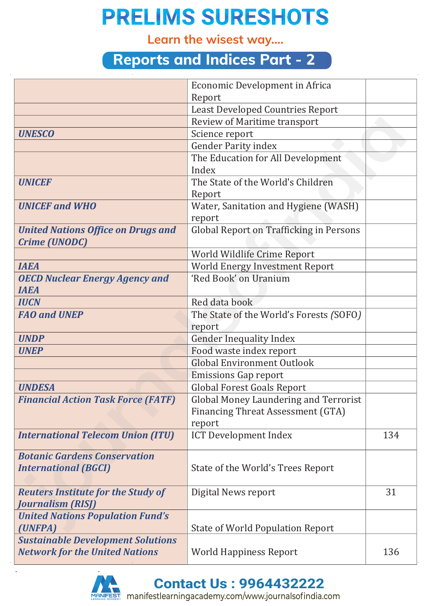# **PRELIMS SURESHOTS**

**Learn the wisest way....**

#### **Reports and Indices Part - 2**

|                                           | Economic Development in Africa           |     |
|-------------------------------------------|------------------------------------------|-----|
|                                           | Report                                   |     |
|                                           | <b>Least Developed Countries Report</b>  |     |
|                                           | <b>Review of Maritime transport</b>      |     |
| <b>UNESCO</b>                             | Science report                           |     |
|                                           | <b>Gender Parity index</b>               |     |
|                                           | The Education for All Development        |     |
|                                           | Index                                    |     |
| <b>UNICEF</b>                             | The State of the World's Children        |     |
|                                           | Report                                   |     |
| <b>UNICEF and WHO</b>                     | Water, Sanitation and Hygiene (WASH)     |     |
|                                           | report                                   |     |
| <b>United Nations Office on Drugs and</b> | Global Report on Trafficking in Persons  |     |
| <b>Crime (UNODC)</b>                      |                                          |     |
|                                           | World Wildlife Crime Report              |     |
| <b>IAEA</b>                               | <b>World Energy Investment Report</b>    |     |
| <b>OECD Nuclear Energy Agency and</b>     | 'Red Book' on Uranium                    |     |
| <b>IAEA</b>                               |                                          |     |
| <b>IUCN</b>                               | Red data book                            |     |
| <b>FAO and UNEP</b>                       | The State of the World's Forests (SOFO)  |     |
|                                           | report                                   |     |
| <b>UNDP</b>                               | <b>Gender Inequality Index</b>           |     |
| <b>UNEP</b>                               | Food waste index report                  |     |
|                                           | <b>Global Environment Outlook</b>        |     |
|                                           | <b>Emissions Gap report</b>              |     |
| <b>UNDESA</b>                             | <b>Global Forest Goals Report</b>        |     |
| <b>Financial Action Task Force (FATF)</b> | Global Money Laundering and Terrorist    |     |
|                                           | <b>Financing Threat Assessment (GTA)</b> |     |
|                                           | report                                   |     |
| <b>International Telecom Union (ITU)</b>  | <b>ICT Development Index</b>             | 134 |
| <b>Botanic Gardens Conservation</b>       |                                          |     |
| <b>International (BGCI)</b>               | State of the World's Trees Report        |     |
|                                           |                                          |     |
| <b>Reuters Institute for the Study of</b> | Digital News report                      | 31  |
| <b>Journalism (RISJ)</b>                  |                                          |     |
| <b>United Nations Population Fund's</b>   |                                          |     |
| (UNFPA)                                   | <b>State of World Population Report</b>  |     |
| <b>Sustainable Development Solutions</b>  |                                          |     |
| <b>Network for the United Nations</b>     | <b>World Happiness Report</b>            | 136 |
|                                           |                                          |     |



**Contact Us : 9964432222**

manifestlearningacademy.com/www.journalsofindia.com